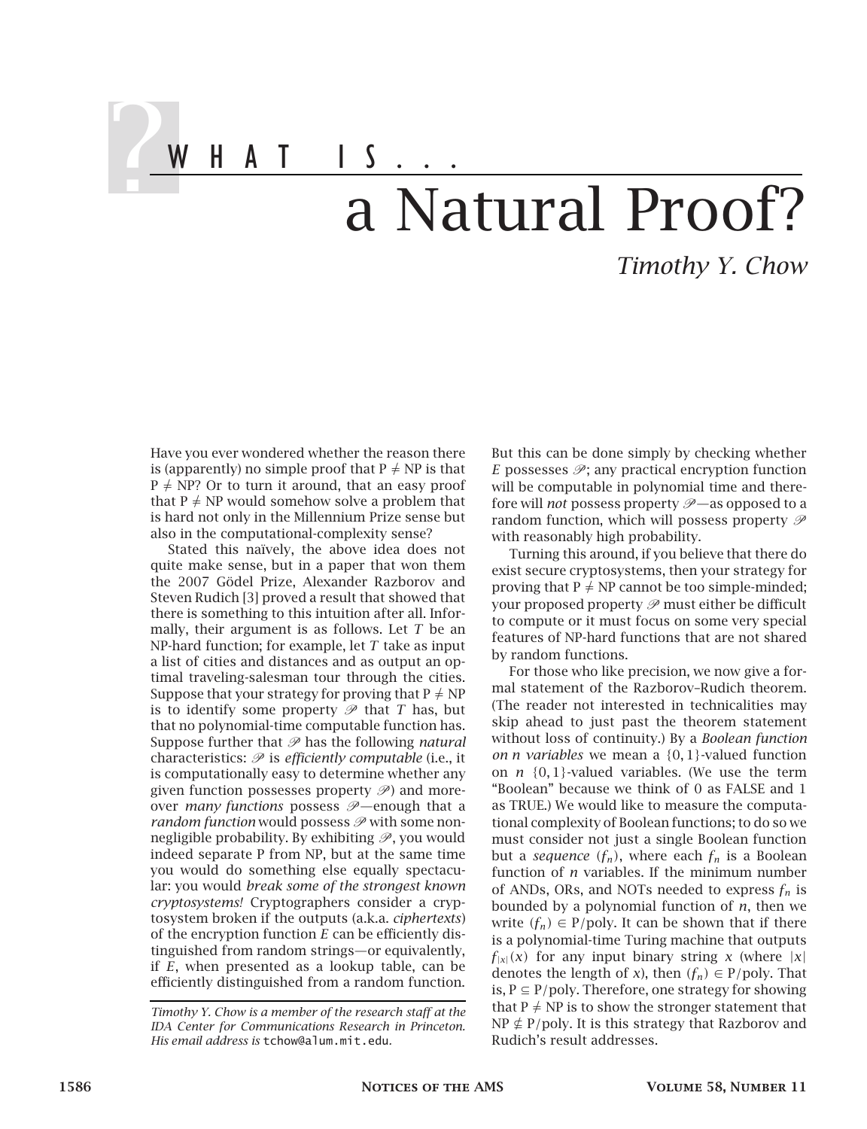WHAT IS... a Natural Proof?

Have you ever wondered whether the reason there is (apparently) no simple proof that  $P \neq NP$  is that  $P \neq NP$ ? Or to turn it around, that an easy proof that  $P \neq NP$  would somehow solve a problem that is hard not only in the Millennium Prize sense but also in the computational-complexity sense?

Stated this naïvely, the above idea does not quite make sense, but in a paper that won them the 2007 Gödel Prize, Alexander Razborov and Steven Rudich [3] proved a result that showed that there is something to this intuition after all. Informally, their argument is as follows. Let *T* be an NP-hard function; for example, let *T* take as input a list of cities and distances and as output an optimal traveling-salesman tour through the cities. Suppose that your strategy for proving that  $P \neq NP$ is to identify some property  $\mathscr P$  that *T* has, but that no polynomial-time computable function has. Suppose further that  $\mathscr P$  has the following *natural* characteristics: P is *efficiently computable* (i.e., it is computationally easy to determine whether any given function possesses property  $\mathscr{P}$ ) and moreover *many functions* possess  $\mathcal{P}-$ enough that a *random function* would possess  $\mathcal P$  with some nonnegligible probability. By exhibiting  $\mathscr{P}$ , you would indeed separate P from NP, but at the same time you would do something else equally spectacular: you would *break some of the strongest known cryptosystems!* Cryptographers consider a cryptosystem broken if the outputs (a.k.a. *ciphertexts*) of the encryption function *E* can be efficiently distinguished from random strings—or equivalently, if *E*, when presented as a lookup table, can be efficiently distinguished from a random function.

But this can be done simply by checking whether *E* possesses  $\mathcal{P}$ ; any practical encryption function will be computable in polynomial time and therefore will *not* possess property  $\mathscr{P}-$  as opposed to a random function, which will possess property  $\mathscr P$ with reasonably high probability.

Turning this around, if you believe that there do exist secure cryptosystems, then your strategy for proving that  $P \neq NP$  cannot be too simple-minded; your proposed property  $\mathscr P$  must either be difficult to compute or it must focus on some very special features of NP-hard functions that are not shared by random functions.

For those who like precision, we now give a formal statement of the Razborov–Rudich theorem. (The reader not interested in technicalities may skip ahead to just past the theorem statement without loss of continuity.) By a *Boolean function on n variables* we mean a {0*,* 1}-valued function on *n* {0*,* 1}-valued variables. (We use the term "Boolean" because we think of 0 as FALSE and 1 as TRUE.) We would like to measure the computational complexity of Boolean functions; to do so we must consider not just a single Boolean function but a *sequence*  $(f_n)$ , where each  $f_n$  is a Boolean function of *n* variables. If the minimum number of ANDs, ORs, and NOTs needed to express *f<sup>n</sup>* is bounded by a polynomial function of *n*, then we write  $(f_n) \in P$ /poly. It can be shown that if there is a polynomial-time Turing machine that outputs  $f_{|x|}(x)$  for any input binary string *x* (where  $|x|$ denotes the length of *x*), then  $(f_n) \in P$ */poly.* That is,  $P$  ⊆  $P$ /poly. Therefore, one strategy for showing that  $P \neq NP$  is to show the stronger statement that  $NP \not\subseteq P/poly.$  It is this strategy that Razborov and Rudich's result addresses.

*Timothy Y. Chow*

*Timothy Y. Chow is a member of the research staff at the IDA Center for Communications Research in Princeton. His email address is* tchow@alum.mit.edu*.*